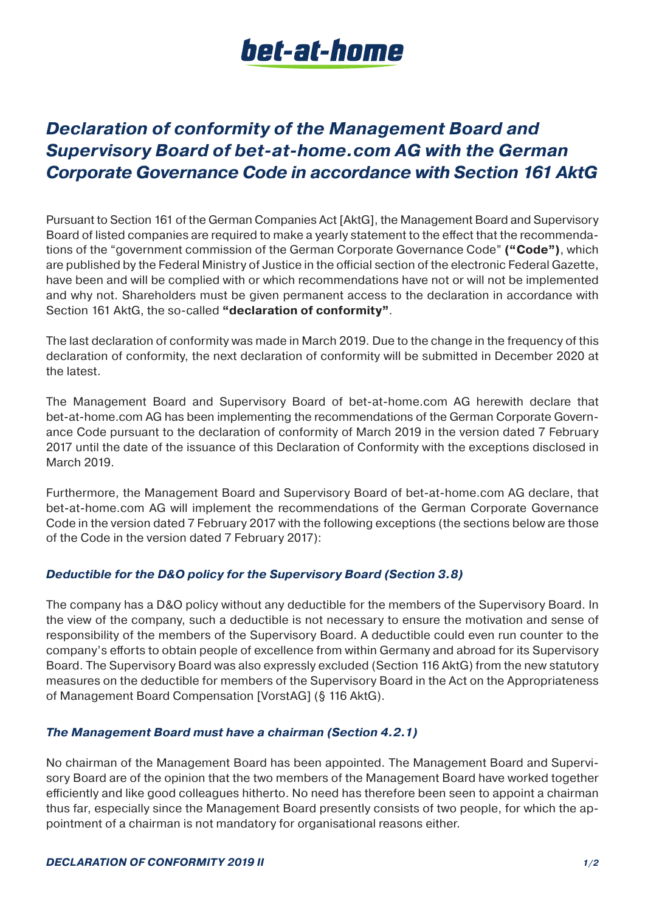# bet-at-home

## *Declaration of conformity of the Management Board and Supervisory Board of bet-at-home.com AG with the German Corporate Governance Code in accordance with Section 161 AktG*

Pursuant to Section 161 of the German Companies Act [AktG], the Management Board and Supervisory Board of listed companies are required to make a yearly statement to the effect that the recommendations of the "government commission of the German Corporate Governance Code" **("Code")**, which are published by the Federal Ministry of Justice in the official section of the electronic Federal Gazette, have been and will be complied with or which recommendations have not or will not be implemented and why not. Shareholders must be given permanent access to the declaration in accordance with Section 161 AktG, the so-called **"declaration of conformity"**.

The last declaration of conformity was made in March 2019. Due to the change in the frequency of this declaration of conformity, the next declaration of conformity will be submitted in December 2020 at the latest.

The Management Board and Supervisory Board of bet-at-home.com AG herewith declare that bet-at-home.com AG has been implementing the recommendations of the German Corporate Governance Code pursuant to the declaration of conformity of March 2019 in the version dated 7 February 2017 until the date of the issuance of this Declaration of Conformity with the exceptions disclosed in March 2019.

Furthermore, the Management Board and Supervisory Board of bet-at-home.com AG declare, that bet-at-home.com AG will implement the recommendations of the German Corporate Governance Code in the version dated 7 February 2017 with the following exceptions (the sections below are those of the Code in the version dated 7 February 2017):

### *Deductible for the D&O policy for the Supervisory Board (Section 3.8)*

The company has a D&O policy without any deductible for the members of the Supervisory Board. In the view of the company, such a deductible is not necessary to ensure the motivation and sense of responsibility of the members of the Supervisory Board. A deductible could even run counter to the company's efforts to obtain people of excellence from within Germany and abroad for its Supervisory Board. The Supervisory Board was also expressly excluded (Section 116 AktG) from the new statutory measures on the deductible for members of the Supervisory Board in the Act on the Appropriateness of Management Board Compensation [VorstAG] (§ 116 AktG).

#### *The Management Board must have a chairman (Section 4.2.1)*

No chairman of the Management Board has been appointed. The Management Board and Supervisory Board are of the opinion that the two members of the Management Board have worked together efficiently and like good colleagues hitherto. No need has therefore been seen to appoint a chairman thus far, especially since the Management Board presently consists of two people, for which the appointment of a chairman is not mandatory for organisational reasons either.